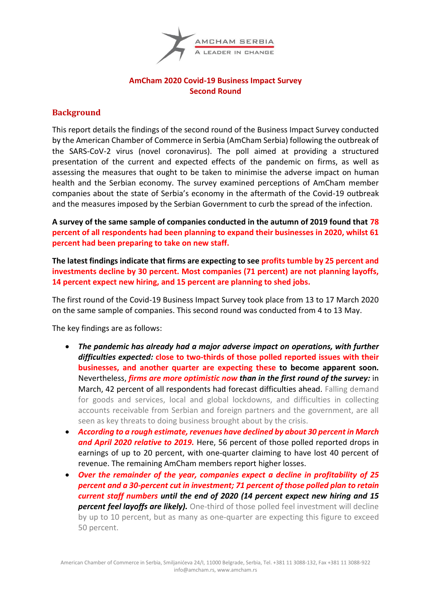

# **AmCham 2020 Covid-19 Business Impact Survey Second Round**

# **Background**

This report details the findings of the second round of the Business Impact Survey conducted by the American Chamber of Commerce in Serbia (AmCham Serbia) following the outbreak of the SARS-CoV-2 virus (novel coronavirus). The poll aimed at providing a structured presentation of the current and expected effects of the pandemic on firms, as well as assessing the measures that ought to be taken to minimise the adverse impact on human health and the Serbian economy. The survey examined perceptions of AmCham member companies about the state of Serbia's economy in the aftermath of the Covid-19 outbreak and the measures imposed by the Serbian Government to curb the spread of the infection.

**A survey of the same sample of companies conducted in the autumn of 2019 found that 78 percent of all respondents had been planning to expand their businesses in 2020, whilst 61 percent had been preparing to take on new staff.**

**The latest findings indicate that firms are expecting to see profits tumble by 25 percent and investments decline by 30 percent. Most companies (71 percent) are not planning layoffs, 14 percent expect new hiring, and 15 percent are planning to shed jobs.**

The first round of the Covid-19 Business Impact Survey took place from 13 to 17 March 2020 on the same sample of companies. This second round was conducted from 4 to 13 May.

The key findings are as follows:

- *The pandemic has already had a major adverse impact on operations, with further difficulties expected:* **close to two-thirds of those polled reported issues with their businesses, and another quarter are expecting these to become apparent soon.**  Nevertheless, *firms are more optimistic now than in the first round of the survey:* in March, 42 percent of all respondents had forecast difficulties ahead. Falling demand for goods and services, local and global lockdowns, and difficulties in collecting accounts receivable from Serbian and foreign partners and the government, are all seen as key threats to doing business brought about by the crisis.
- *According to a rough estimate, revenues have declined by about 30 percent in March and April 2020 relative to 2019.* Here, 56 percent of those polled reported drops in earnings of up to 20 percent, with one-quarter claiming to have lost 40 percent of revenue. The remaining AmCham members report higher losses.
- *Over the remainder of the year, companies expect a decline in profitability of 25 percent and a 30-percent cut in investment; 71 percent of those polled plan to retain current staff numbers until the end of 2020 (14 percent expect new hiring and 15 percent feel layoffs are likely).* One-third of those polled feel investment will decline by up to 10 percent, but as many as one-quarter are expecting this figure to exceed 50 percent.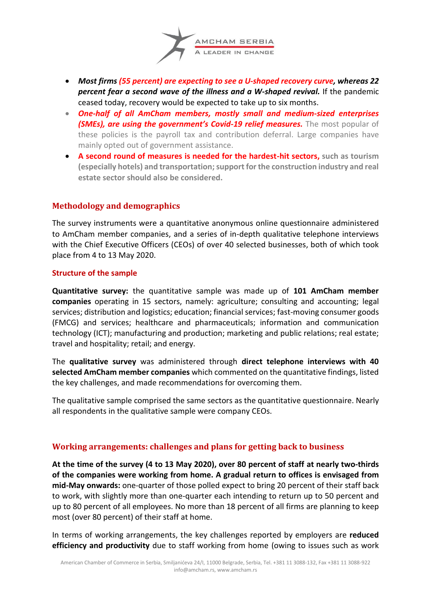

- *Most firms (55 percent) are expecting to see a U-shaped recovery curve, whereas 22 percent fear a second wave of the illness and a W-shaped revival.* If the pandemic ceased today, recovery would be expected to take up to six months.
- *One-half of all AmCham members, mostly small and medium-sized enterprises (SMEs), are using the government's Covid-19 relief measures.* The most popular of these policies is the payroll tax and contribution deferral. Large companies have mainly opted out of government assistance.
- **A second round of measures is needed for the hardest-hit sectors, such as tourism (especially hotels) and transportation; support for the construction industry and real estate sector should also be considered.**

# **Methodology and demographics**

The survey instruments were a quantitative anonymous online questionnaire administered to AmCham member companies, and a series of in-depth qualitative telephone interviews with the Chief Executive Officers (CEOs) of over 40 selected businesses, both of which took place from 4 to 13 May 2020.

#### **Structure of the sample**

**Quantitative survey:** the quantitative sample was made up of **101 AmCham member companies** operating in 15 sectors, namely: agriculture; consulting and accounting; legal services; distribution and logistics; education; financial services; fast-moving consumer goods (FMCG) and services; healthcare and pharmaceuticals; information and communication technology (ICT); manufacturing and production; marketing and public relations; real estate; travel and hospitality; retail; and energy.

The **qualitative survey** was administered through **direct telephone interviews with 40 selected AmCham member companies** which commented on the quantitative findings, listed the key challenges, and made recommendations for overcoming them.

The qualitative sample comprised the same sectors as the quantitative questionnaire. Nearly all respondents in the qualitative sample were company CEOs.

# **Working arrangements: challenges and plans for getting back to business**

**At the time of the survey (4 to 13 May 2020), over 80 percent of staff at nearly two-thirds of the companies were working from home. A gradual return to offices is envisaged from mid-May onwards:** one-quarter of those polled expect to bring 20 percent of their staff back to work, with slightly more than one-quarter each intending to return up to 50 percent and up to 80 percent of all employees. No more than 18 percent of all firms are planning to keep most (over 80 percent) of their staff at home.

In terms of working arrangements, the key challenges reported by employers are **reduced efficiency and productivity** due to staff working from home (owing to issues such as work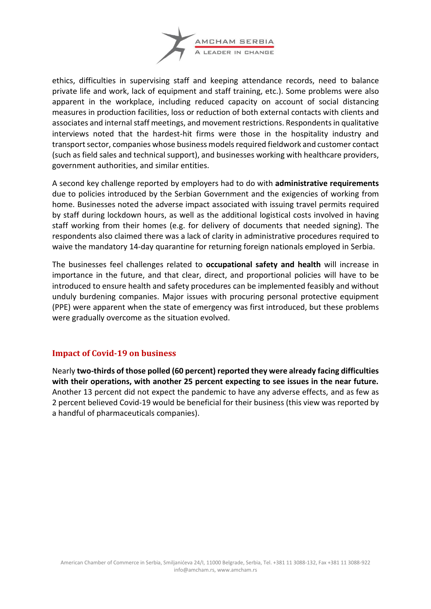

ethics, difficulties in supervising staff and keeping attendance records, need to balance private life and work, lack of equipment and staff training, etc.). Some problems were also apparent in the workplace, including reduced capacity on account of social distancing measures in production facilities, loss or reduction of both external contacts with clients and associates and internal staff meetings, and movement restrictions. Respondents in qualitative interviews noted that the hardest-hit firms were those in the hospitality industry and transport sector, companies whose business models required fieldwork and customer contact (such as field sales and technical support), and businesses working with healthcare providers, government authorities, and similar entities.

A second key challenge reported by employers had to do with **administrative requirements** due to policies introduced by the Serbian Government and the exigencies of working from home. Businesses noted the adverse impact associated with issuing travel permits required by staff during lockdown hours, as well as the additional logistical costs involved in having staff working from their homes (e.g. for delivery of documents that needed signing). The respondents also claimed there was a lack of clarity in administrative procedures required to waive the mandatory 14-day quarantine for returning foreign nationals employed in Serbia.

The businesses feel challenges related to **occupational safety and health** will increase in importance in the future, and that clear, direct, and proportional policies will have to be introduced to ensure health and safety procedures can be implemented feasibly and without unduly burdening companies. Major issues with procuring personal protective equipment (PPE) were apparent when the state of emergency was first introduced, but these problems were gradually overcome as the situation evolved.

# **Impact of Covid-19 on business**

Nearly **two-thirds of those polled (60 percent) reported they were already facing difficulties with their operations, with another 25 percent expecting to see issues in the near future.**  Another 13 percent did not expect the pandemic to have any adverse effects, and as few as 2 percent believed Covid-19 would be beneficial for their business (this view was reported by a handful of pharmaceuticals companies).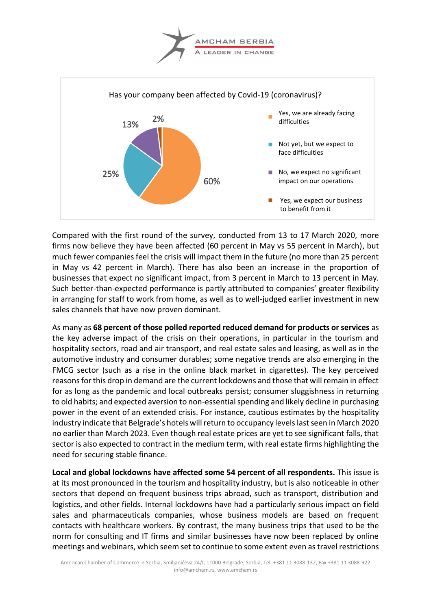



Compared with the first round of the survey, conducted from 13 to 17 March 2020, more firms now believe they have been affected (60 percent in May vs 55 percent in March), but much fewer companies feel the crisis will impact them in the future (no more than 25 percent in May vs 42 percent in March). There has also been an increase in the proportion of businesses that expect no significant impact, from 3 percent in March to 13 percent in May. Such better-than-expected performance is partly attributed to companies' greater flexibility in arranging for staff to work from home, as well as to well-judged earlier investment in new sales channels that have now proven dominant.

As many as **68 percent of those polled reported reduced demand for products or services** as the key adverse impact of the crisis on their operations, in particular in the tourism and hospitality sectors, road and air transport, and real estate sales and leasing, as well as in the automotive industry and consumer durables; some negative trends are also emerging in the FMCG sector (such as a rise in the online black market in cigarettes). The key perceived reasons for this drop in demand are the current lockdowns and those that will remain in effect for as long as the pandemic and local outbreaks persist; consumer sluggishness in returning to old habits; and expected aversion to non-essential spending and likely decline in purchasing power in the event of an extended crisis. For instance, cautious estimates by the hospitality industry indicate that Belgrade's hotels will return to occupancy levels last seen in March 2020 no earlier than March 2023. Even though real estate prices are yet to see significant falls, that sector is also expected to contract in the medium term, with real estate firms highlighting the need for securing stable finance.

**Local and global lockdowns have affected some 54 percent of all respondents.** This issue is at its most pronounced in the tourism and hospitality industry, but is also noticeable in other sectors that depend on frequent business trips abroad, such as transport, distribution and logistics, and other fields. Internal lockdowns have had a particularly serious impact on field sales and pharmaceuticals companies, whose business models are based on frequent contacts with healthcare workers. By contrast, the many business trips that used to be the norm for consulting and IT firms and similar businesses have now been replaced by online meetings and webinars, which seem set to continue to some extent even as travel restrictions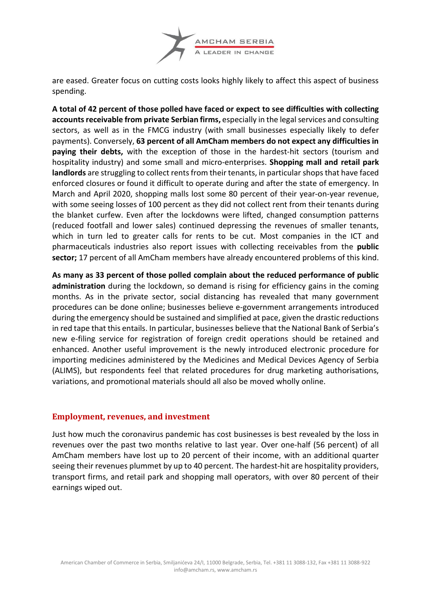

are eased. Greater focus on cutting costs looks highly likely to affect this aspect of business spending.

**A total of 42 percent of those polled have faced or expect to see difficulties with collecting accounts receivable from private Serbian firms,** especially in the legal services and consulting sectors, as well as in the FMCG industry (with small businesses especially likely to defer payments). Conversely, **63 percent of all AmCham members do not expect any difficulties in paying their debts,** with the exception of those in the hardest-hit sectors (tourism and hospitality industry) and some small and micro-enterprises. **Shopping mall and retail park** landlords are struggling to collect rents from their tenants, in particular shops that have faced enforced closures or found it difficult to operate during and after the state of emergency. In March and April 2020, shopping malls lost some 80 percent of their year-on-year revenue, with some seeing losses of 100 percent as they did not collect rent from their tenants during the blanket curfew. Even after the lockdowns were lifted, changed consumption patterns (reduced footfall and lower sales) continued depressing the revenues of smaller tenants, which in turn led to greater calls for rents to be cut. Most companies in the ICT and pharmaceuticals industries also report issues with collecting receivables from the **public sector;** 17 percent of all AmCham members have already encountered problems of this kind.

**As many as 33 percent of those polled complain about the reduced performance of public administration** during the lockdown, so demand is rising for efficiency gains in the coming months. As in the private sector, social distancing has revealed that many government procedures can be done online; businesses believe e-government arrangements introduced during the emergency should be sustained and simplified at pace, given the drastic reductions in red tape that this entails. In particular, businesses believe that the National Bank of Serbia's new e-filing service for registration of foreign credit operations should be retained and enhanced. Another useful improvement is the newly introduced electronic procedure for importing medicines administered by the Medicines and Medical Devices Agency of Serbia (ALIMS), but respondents feel that related procedures for drug marketing authorisations, variations, and promotional materials should all also be moved wholly online.

### **Employment, revenues, and investment**

Just how much the coronavirus pandemic has cost businesses is best revealed by the loss in revenues over the past two months relative to last year. Over one-half (56 percent) of all AmCham members have lost up to 20 percent of their income, with an additional quarter seeing their revenues plummet by up to 40 percent. The hardest-hit are hospitality providers, transport firms, and retail park and shopping mall operators, with over 80 percent of their earnings wiped out.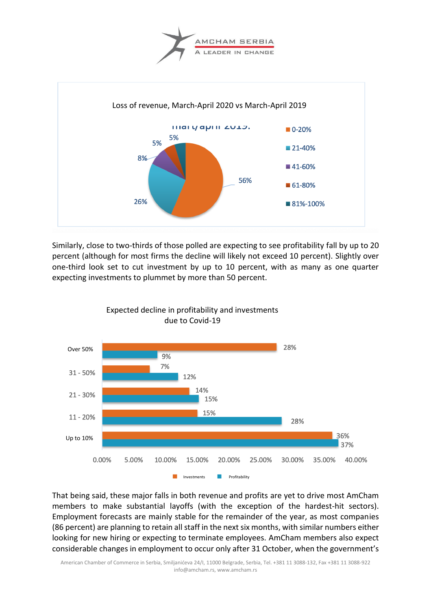



Similarly, close to two-thirds of those polled are expecting to see profitability fall by up to 20 percent (although for most firms the decline will likely not exceed 10 percent). Slightly over one-third look set to cut investment by up to 10 percent, with as many as one quarter expecting investments to plummet by more than 50 percent.



That being said, these major falls in both revenue and profits are yet to drive most AmCham members to make substantial layoffs (with the exception of the hardest-hit sectors). Employment forecasts are mainly stable for the remainder of the year, as most companies (86 percent) are planning to retain all staff in the next six months, with similar numbers either looking for new hiring or expecting to terminate employees. AmCham members also expect considerable changes in employment to occur only after 31 October, when the government's

American Chamber of Commerce in Serbia, Smiljanićeva 24/I, 11000 Belgrade, Serbia, Tel. +381 11 3088-132, Fax +381 11 3088-922 info@amcham.rs, www.amcham.rs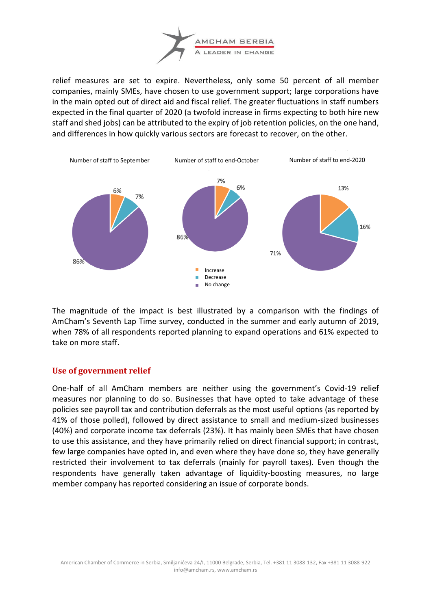

relief measures are set to expire. Nevertheless, only some 50 percent of all member companies, mainly SMEs, have chosen to use government support; large corporations have in the main opted out of direct aid and fiscal relief. The greater fluctuations in staff numbers expected in the final quarter of 2020 (a twofold increase in firms expecting to both hire new staff and shed jobs) can be attributed to the expiry of job retention policies, on the one hand, and differences in how quickly various sectors are forecast to recover, on the other.



The magnitude of the impact is best illustrated by a comparison with the findings of AmCham's Seventh Lap Time survey, conducted in the summer and early autumn of 2019, when 78% of all respondents reported planning to expand operations and 61% expected to take on more staff.

### **Use of government relief**

One-half of all AmCham members are neither using the government's Covid-19 relief measures nor planning to do so. Businesses that have opted to take advantage of these policies see payroll tax and contribution deferrals as the most useful options (as reported by 41% of those polled), followed by direct assistance to small and medium-sized businesses (40%) and corporate income tax deferrals (23%). It has mainly been SMEs that have chosen to use this assistance, and they have primarily relied on direct financial support; in contrast, few large companies have opted in, and even where they have done so, they have generally restricted their involvement to tax deferrals (mainly for payroll taxes). Even though the respondents have generally taken advantage of liquidity-boosting measures, no large member company has reported considering an issue of corporate bonds.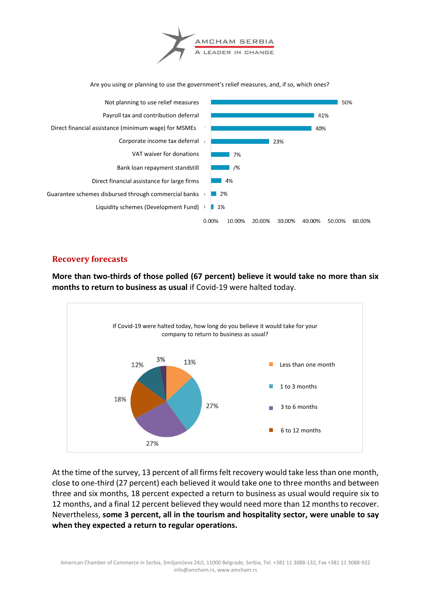

Are you using or planning to use the government's relief measures, and, if so, which ones?



### **Recovery forecasts**

**More than two-thirds of those polled (67 percent) believe it would take no more than six months to return to business as usual** if Covid-19 were halted today.



At the time of the survey, 13 percent of all firms felt recovery would take less than one month, close to one-third (27 percent) each believed it would take one to three months and between three and six months, 18 percent expected a return to business as usual would require six to 12 months, and a final 12 percent believed they would need more than 12 months to recover. Nevertheless, **some 3 percent, all in the tourism and hospitality sector, were unable to say when they expected a return to regular operations.**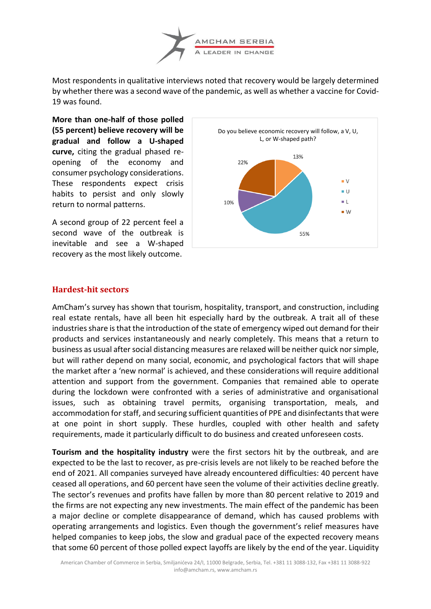

Most respondents in qualitative interviews noted that recovery would be largely determined by whether there was a second wave of the pandemic, as well as whether a vaccine for Covid-19 was found.

**More than one-half of those polled (55 percent) believe recovery will be gradual and follow a U-shaped curve,** citing the gradual phased reopening of the economy and consumer psychology considerations. These respondents expect crisis habits to persist and only slowly return to normal patterns.

A second group of 22 percent feel a second wave of the outbreak is inevitable and see a W-shaped recovery as the most likely outcome.



### **Hardest-hit sectors**

AmCham's survey has shown that tourism, hospitality, transport, and construction, including real estate rentals, have all been hit especially hard by the outbreak. A trait all of these industries share is that the introduction of the state of emergency wiped out demand for their products and services instantaneously and nearly completely. This means that a return to business as usual after social distancing measures are relaxed will be neither quick nor simple, but will rather depend on many social, economic, and psychological factors that will shape the market after a 'new normal' is achieved, and these considerations will require additional attention and support from the government. Companies that remained able to operate during the lockdown were confronted with a series of administrative and organisational issues, such as obtaining travel permits, organising transportation, meals, and accommodation for staff, and securing sufficient quantities of PPE and disinfectants that were at one point in short supply. These hurdles, coupled with other health and safety requirements, made it particularly difficult to do business and created unforeseen costs.

**Tourism and the hospitality industry** were the first sectors hit by the outbreak, and are expected to be the last to recover, as pre-crisis levels are not likely to be reached before the end of 2021. All companies surveyed have already encountered difficulties: 40 percent have ceased all operations, and 60 percent have seen the volume of their activities decline greatly. The sector's revenues and profits have fallen by more than 80 percent relative to 2019 and the firms are not expecting any new investments. The main effect of the pandemic has been a major decline or complete disappearance of demand, which has caused problems with operating arrangements and logistics. Even though the government's relief measures have helped companies to keep jobs, the slow and gradual pace of the expected recovery means that some 60 percent of those polled expect layoffs are likely by the end of the year. Liquidity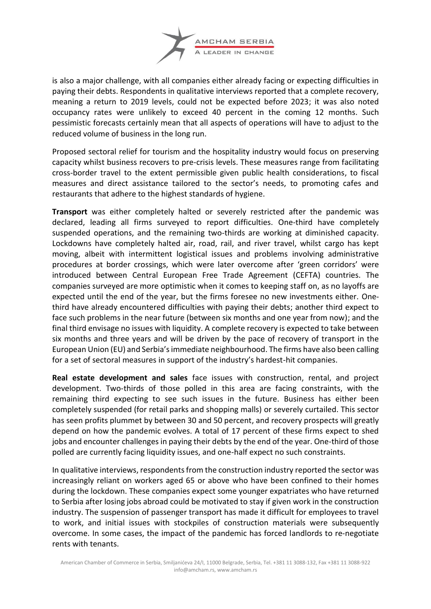

is also a major challenge, with all companies either already facing or expecting difficulties in paying their debts. Respondents in qualitative interviews reported that a complete recovery, meaning a return to 2019 levels, could not be expected before 2023; it was also noted occupancy rates were unlikely to exceed 40 percent in the coming 12 months. Such pessimistic forecasts certainly mean that all aspects of operations will have to adjust to the reduced volume of business in the long run.

Proposed sectoral relief for tourism and the hospitality industry would focus on preserving capacity whilst business recovers to pre-crisis levels. These measures range from facilitating cross-border travel to the extent permissible given public health considerations, to fiscal measures and direct assistance tailored to the sector's needs, to promoting cafes and restaurants that adhere to the highest standards of hygiene.

**Transport** was either completely halted or severely restricted after the pandemic was declared, leading all firms surveyed to report difficulties. One-third have completely suspended operations, and the remaining two-thirds are working at diminished capacity. Lockdowns have completely halted air, road, rail, and river travel, whilst cargo has kept moving, albeit with intermittent logistical issues and problems involving administrative procedures at border crossings, which were later overcome after 'green corridors' were introduced between Central European Free Trade Agreement (CEFTA) countries. The companies surveyed are more optimistic when it comes to keeping staff on, as no layoffs are expected until the end of the year, but the firms foresee no new investments either. Onethird have already encountered difficulties with paying their debts; another third expect to face such problems in the near future (between six months and one year from now); and the final third envisage no issues with liquidity. A complete recovery is expected to take between six months and three years and will be driven by the pace of recovery of transport in the European Union (EU) and Serbia's immediate neighbourhood. The firms have also been calling for a set of sectoral measures in support of the industry's hardest-hit companies.

**Real estate development and sales** face issues with construction, rental, and project development. Two-thirds of those polled in this area are facing constraints, with the remaining third expecting to see such issues in the future. Business has either been completely suspended (for retail parks and shopping malls) or severely curtailed. This sector has seen profits plummet by between 30 and 50 percent, and recovery prospects will greatly depend on how the pandemic evolves. A total of 17 percent of these firms expect to shed jobs and encounter challenges in paying their debts by the end of the year. One-third of those polled are currently facing liquidity issues, and one-half expect no such constraints.

In qualitative interviews, respondents from the construction industry reported the sector was increasingly reliant on workers aged 65 or above who have been confined to their homes during the lockdown. These companies expect some younger expatriates who have returned to Serbia after losing jobs abroad could be motivated to stay if given work in the construction industry. The suspension of passenger transport has made it difficult for employees to travel to work, and initial issues with stockpiles of construction materials were subsequently overcome. In some cases, the impact of the pandemic has forced landlords to re-negotiate rents with tenants.